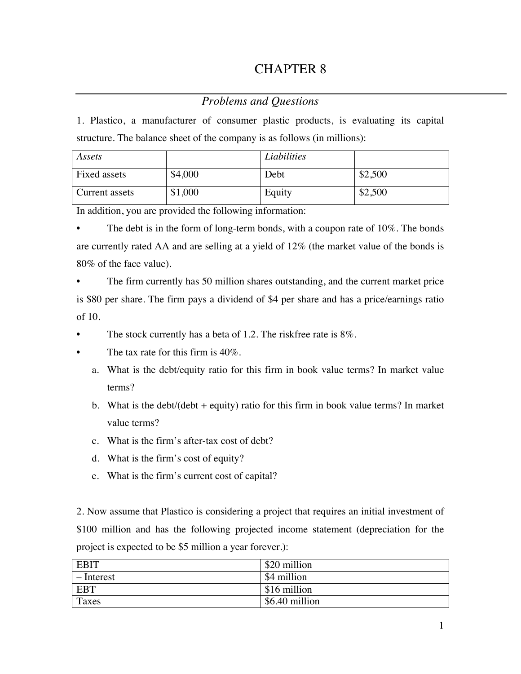## CHAPTER 8

## *Problems and Questions*

1. Plastico, a manufacturer of consumer plastic products, is evaluating its capital structure. The balance sheet of the company is as follows (in millions):

| Assets         |         | Liabilities |         |
|----------------|---------|-------------|---------|
| Fixed assets   | \$4,000 | Debt        | \$2,500 |
| Current assets | \$1,000 | Equity      | \$2,500 |

In addition, you are provided the following information:

The debt is in the form of long-term bonds, with a coupon rate of  $10\%$ . The bonds are currently rated AA and are selling at a yield of 12% (the market value of the bonds is 80% of the face value).

The firm currently has 50 million shares outstanding, and the current market price is \$80 per share. The firm pays a dividend of \$4 per share and has a price/earnings ratio of 10.

The stock currently has a beta of 1.2. The riskfree rate is 8%.

- The tax rate for this firm is  $40\%$ .
	- a. What is the debt/equity ratio for this firm in book value terms? In market value terms?
	- b. What is the debt/(debt  $+$  equity) ratio for this firm in book value terms? In market value terms?
	- c. What is the firm's after-tax cost of debt?
	- d. What is the firm's cost of equity?
	- e. What is the firm's current cost of capital?

2. Now assume that Plastico is considering a project that requires an initial investment of \$100 million and has the following projected income statement (depreciation for the project is expected to be \$5 million a year forever.):

| <b>EBIT</b> | \$20 million   |
|-------------|----------------|
| – Interest  | \$4 million    |
| <b>EBT</b>  | \$16 million   |
| Taxes       | \$6.40 million |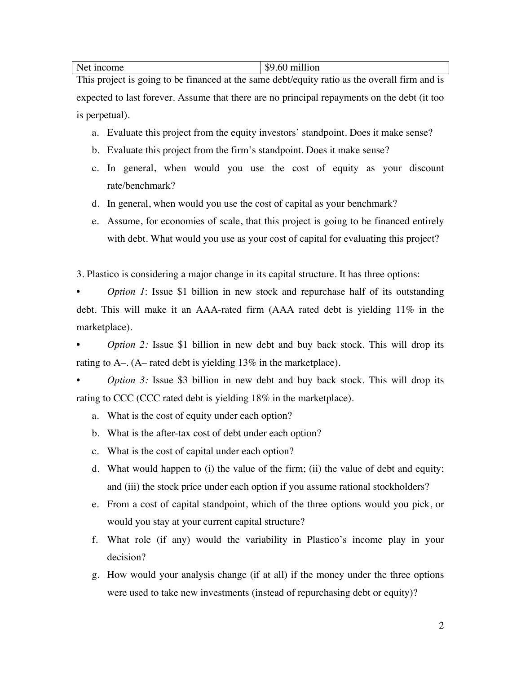Net income \$9.60 million

This project is going to be financed at the same debt/equity ratio as the overall firm and is expected to last forever. Assume that there are no principal repayments on the debt (it too is perpetual).

- a. Evaluate this project from the equity investors' standpoint. Does it make sense?
- b. Evaluate this project from the firm's standpoint. Does it make sense?
- c. In general, when would you use the cost of equity as your discount rate/benchmark?
- d. In general, when would you use the cost of capital as your benchmark?
- e. Assume, for economies of scale, that this project is going to be financed entirely with debt. What would you use as your cost of capital for evaluating this project?

3. Plastico is considering a major change in its capital structure. It has three options:

*Option 1: Issue \$1 billion in new stock and repurchase half of its outstanding* debt. This will make it an AAA-rated firm (AAA rated debt is yielding 11% in the marketplace).

*<i>Option* 2: Issue \$1 billion in new debt and buy back stock. This will drop its rating to A–. (A– rated debt is yielding 13% in the marketplace).

*Option* 3: Issue \$3 billion in new debt and buy back stock. This will drop its rating to CCC (CCC rated debt is yielding 18% in the marketplace).

- a. What is the cost of equity under each option?
- b. What is the after-tax cost of debt under each option?
- c. What is the cost of capital under each option?
- d. What would happen to (i) the value of the firm; (ii) the value of debt and equity; and (iii) the stock price under each option if you assume rational stockholders?
- e. From a cost of capital standpoint, which of the three options would you pick, or would you stay at your current capital structure?
- f. What role (if any) would the variability in Plastico's income play in your decision?
- g. How would your analysis change (if at all) if the money under the three options were used to take new investments (instead of repurchasing debt or equity)?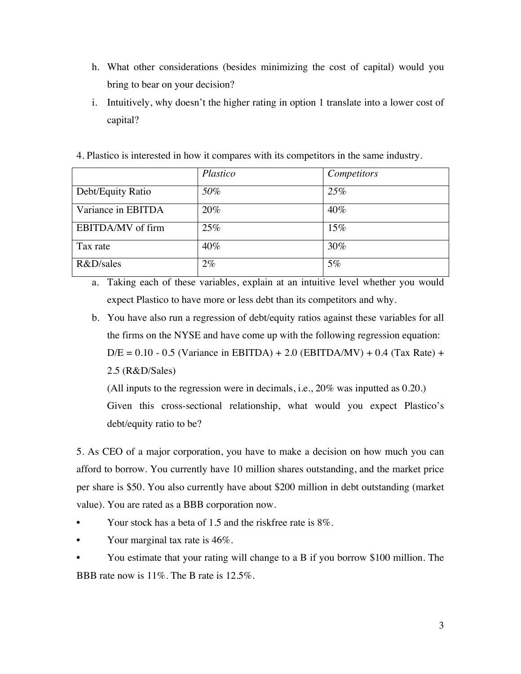- h. What other considerations (besides minimizing the cost of capital) would you bring to bear on your decision?
- i. Intuitively, why doesn't the higher rating in option 1 translate into a lower cost of capital?
- 4. Plastico is interested in how it compares with its competitors in the same industry.

|                    | Plastico | Competitors |
|--------------------|----------|-------------|
| Debt/Equity Ratio  | 50%      | 25%         |
| Variance in EBITDA | 20%      | 40%         |
| EBITDA/MV of firm  | 25%      | 15%         |
| Tax rate           | $40\%$   | 30%         |
| R&D/sales          | $2\%$    | 5%          |

a. Taking each of these variables, explain at an intuitive level whether you would expect Plastico to have more or less debt than its competitors and why.

b. You have also run a regression of debt/equity ratios against these variables for all the firms on the NYSE and have come up with the following regression equation:  $D/E = 0.10 - 0.5$  (Variance in EBITDA) + 2.0 (EBITDA/MV) + 0.4 (Tax Rate) + 2.5 (R&D/Sales)

(All inputs to the regression were in decimals, i.e., 20% was inputted as 0.20.) Given this cross-sectional relationship, what would you expect Plastico's debt/equity ratio to be?

5. As CEO of a major corporation, you have to make a decision on how much you can afford to borrow. You currently have 10 million shares outstanding, and the market price per share is \$50. You also currently have about \$200 million in debt outstanding (market value). You are rated as a BBB corporation now.

- Your stock has a beta of 1.5 and the riskfree rate is 8%.
- Your marginal tax rate is 46%.
- You estimate that your rating will change to a B if you borrow \$100 million. The BBB rate now is 11%. The B rate is 12.5%.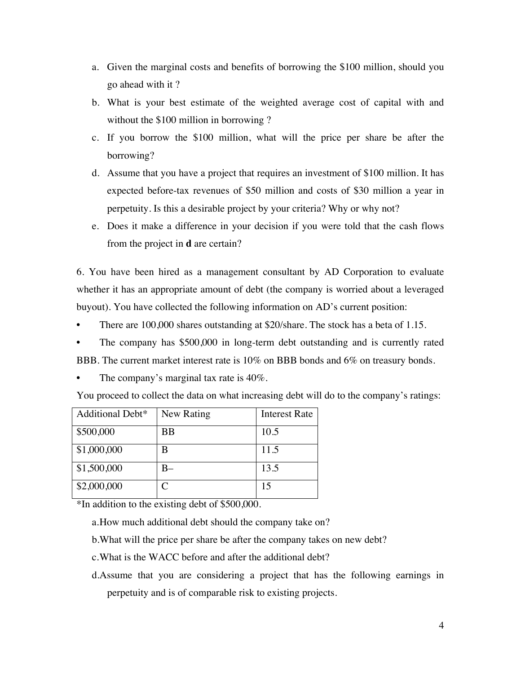- a. Given the marginal costs and benefits of borrowing the \$100 million, should you go ahead with it ?
- b. What is your best estimate of the weighted average cost of capital with and without the \$100 million in borrowing?
- c. If you borrow the \$100 million, what will the price per share be after the borrowing?
- d. Assume that you have a project that requires an investment of \$100 million. It has expected before-tax revenues of \$50 million and costs of \$30 million a year in perpetuity. Is this a desirable project by your criteria? Why or why not?
- e. Does it make a difference in your decision if you were told that the cash flows from the project in **d** are certain?

6. You have been hired as a management consultant by AD Corporation to evaluate whether it has an appropriate amount of debt (the company is worried about a leveraged buyout). You have collected the following information on AD's current position:

- There are 100,000 shares outstanding at \$20/share. The stock has a beta of 1.15.
- The company has \$500,000 in long-term debt outstanding and is currently rated BBB. The current market interest rate is 10% on BBB bonds and 6% on treasury bonds.
- 
- The company's marginal tax rate is  $40\%$ .

| Additional Debt* | New Rating | <b>Interest Rate</b> |
|------------------|------------|----------------------|
| \$500,000        | ВB         | 10.5                 |
| \$1,000,000      | В          | 11.5                 |
| \$1,500,000      |            | 13.5                 |
| \$2,000,000      |            | 15                   |

You proceed to collect the data on what increasing debt will do to the company's ratings:

\*In addition to the existing debt of \$500,000.

a.How much additional debt should the company take on?

b.What will the price per share be after the company takes on new debt?

- c.What is the WACC before and after the additional debt?
- d.Assume that you are considering a project that has the following earnings in perpetuity and is of comparable risk to existing projects.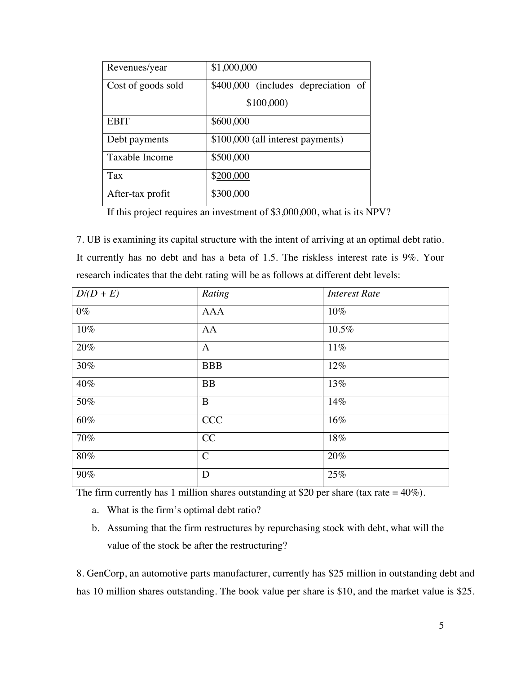| Revenues/year      | \$1,000,000                         |  |
|--------------------|-------------------------------------|--|
| Cost of goods sold | \$400,000 (includes depreciation of |  |
|                    | \$100,000                           |  |
| <b>EBIT</b>        | \$600,000                           |  |
| Debt payments      | \$100,000 (all interest payments)   |  |
| Taxable Income     | \$500,000                           |  |
| <b>Tax</b>         | \$200,000                           |  |
| After-tax profit   | \$300,000                           |  |

If this project requires an investment of \$3,000,000, what is its NPV?

7. UB is examining its capital structure with the intent of arriving at an optimal debt ratio. It currently has no debt and has a beta of 1.5. The riskless interest rate is 9%. Your research indicates that the debt rating will be as follows at different debt levels:

| $D/(D+E)$ | Rating        | <b>Interest Rate</b> |
|-----------|---------------|----------------------|
| $0\%$     | <b>AAA</b>    | 10%                  |
| 10%       | AA            | 10.5%                |
| 20%       | $\mathbf{A}$  | 11%                  |
| 30%       | <b>BBB</b>    | 12%                  |
| 40%       | <b>BB</b>     | 13%                  |
| 50%       | B             | 14%                  |
| $60\%$    | <b>CCC</b>    | 16%                  |
| 70%       | CC            | 18%                  |
| $80\%$    | $\mathcal{C}$ | 20%                  |
| 90%       | D             | 25%                  |

The firm currently has 1 million shares outstanding at \$20 per share (tax rate =  $40\%$ ).

- a. What is the firm's optimal debt ratio?
- b. Assuming that the firm restructures by repurchasing stock with debt, what will the value of the stock be after the restructuring?

8. GenCorp, an automotive parts manufacturer, currently has \$25 million in outstanding debt and has 10 million shares outstanding. The book value per share is \$10, and the market value is \$25.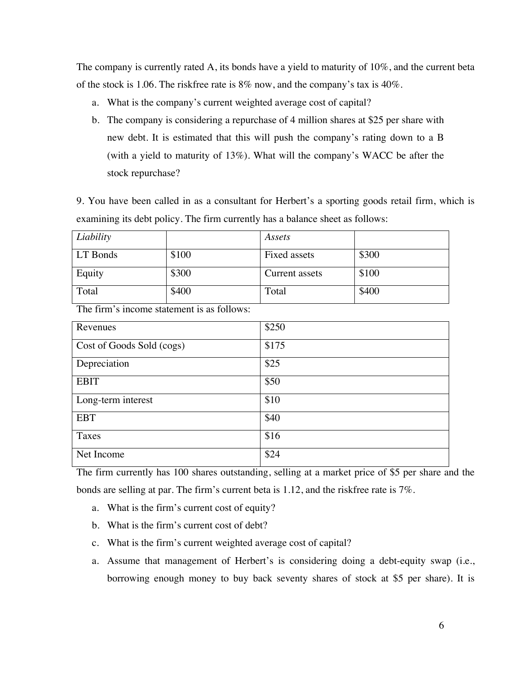The company is currently rated A, its bonds have a yield to maturity of 10%, and the current beta of the stock is 1.06. The riskfree rate is 8% now, and the company's tax is 40%.

- a. What is the company's current weighted average cost of capital?
- b. The company is considering a repurchase of 4 million shares at \$25 per share with new debt. It is estimated that this will push the company's rating down to a B (with a yield to maturity of 13%). What will the company's WACC be after the stock repurchase?

9. You have been called in as a consultant for Herbert's a sporting goods retail firm, which is examining its debt policy. The firm currently has a balance sheet as follows:

| Liability |       | Assets         |       |
|-----------|-------|----------------|-------|
| LT Bonds  | \$100 | Fixed assets   | \$300 |
| Equity    | \$300 | Current assets | \$100 |
| Total     | \$400 | Total          | \$400 |

The firm's income statement is as follows:

| Revenues                  | \$250 |
|---------------------------|-------|
| Cost of Goods Sold (cogs) | \$175 |
| Depreciation              | \$25  |
| <b>EBIT</b>               | \$50  |
| Long-term interest        | \$10  |
| <b>EBT</b>                | \$40  |
| Taxes                     | \$16  |
| Net Income                | \$24  |

The firm currently has 100 shares outstanding, selling at a market price of \$5 per share and the bonds are selling at par. The firm's current beta is 1.12, and the riskfree rate is 7%.

- a. What is the firm's current cost of equity?
- b. What is the firm's current cost of debt?
- c. What is the firm's current weighted average cost of capital?
- a. Assume that management of Herbert's is considering doing a debt-equity swap (i.e., borrowing enough money to buy back seventy shares of stock at \$5 per share). It is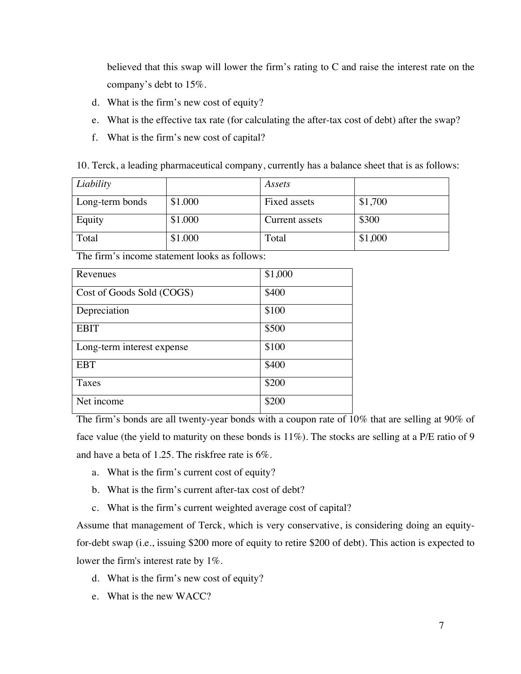believed that this swap will lower the firm's rating to C and raise the interest rate on the company's debt to 15%.

- d. What is the firm's new cost of equity?
- e. What is the effective tax rate (for calculating the after-tax cost of debt) after the swap?
- f. What is the firm's new cost of capital?

| Liability       |         | Assets         |         |
|-----------------|---------|----------------|---------|
| Long-term bonds | \$1.000 | Fixed assets   | \$1,700 |
| Equity          | \$1.000 | Current assets | \$300   |
| Total           | \$1.000 | Total          | \$1,000 |

The firm's income statement looks as follows:

| Revenues                   | \$1,000 |
|----------------------------|---------|
| Cost of Goods Sold (COGS)  | \$400   |
| Depreciation               | \$100   |
| <b>EBIT</b>                | \$500   |
| Long-term interest expense | \$100   |
| <b>EBT</b>                 | \$400   |
| Taxes                      | \$200   |
| Net income                 | \$200   |

The firm's bonds are all twenty-year bonds with a coupon rate of 10% that are selling at 90% of face value (the yield to maturity on these bonds is 11%). The stocks are selling at a P/E ratio of 9 and have a beta of 1.25. The riskfree rate is 6%.

- a. What is the firm's current cost of equity?
- b. What is the firm's current after-tax cost of debt?
- c. What is the firm's current weighted average cost of capital?

Assume that management of Terck, which is very conservative, is considering doing an equityfor-debt swap (i.e., issuing \$200 more of equity to retire \$200 of debt). This action is expected to lower the firm's interest rate by 1%.

- d. What is the firm's new cost of equity?
- e. What is the new WACC?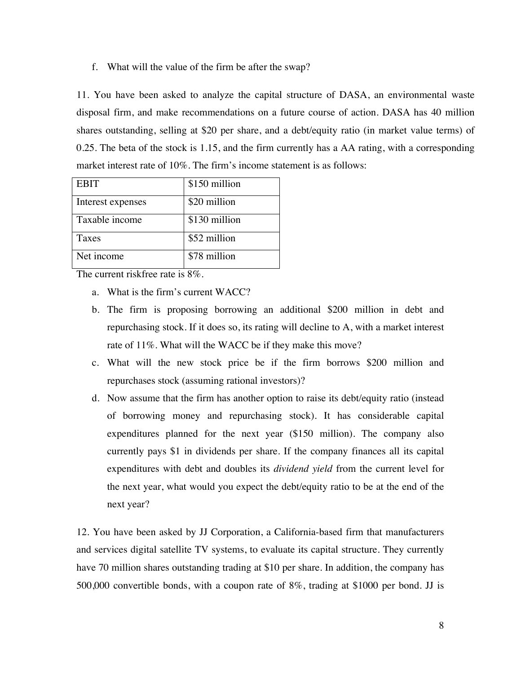## f. What will the value of the firm be after the swap?

11. You have been asked to analyze the capital structure of DASA, an environmental waste disposal firm, and make recommendations on a future course of action. DASA has 40 million shares outstanding, selling at \$20 per share, and a debt/equity ratio (in market value terms) of 0.25. The beta of the stock is 1.15, and the firm currently has a AA rating, with a corresponding market interest rate of 10%. The firm's income statement is as follows:

| <b>EBIT</b>       | \$150 million |
|-------------------|---------------|
| Interest expenses | \$20 million  |
| Taxable income    | \$130 million |
| Taxes             | \$52 million  |
| Net income        | \$78 million  |

The current riskfree rate is 8%.

- a. What is the firm's current WACC?
- b. The firm is proposing borrowing an additional \$200 million in debt and repurchasing stock. If it does so, its rating will decline to A, with a market interest rate of 11%. What will the WACC be if they make this move?
- c. What will the new stock price be if the firm borrows \$200 million and repurchases stock (assuming rational investors)?
- d. Now assume that the firm has another option to raise its debt/equity ratio (instead of borrowing money and repurchasing stock). It has considerable capital expenditures planned for the next year (\$150 million). The company also currently pays \$1 in dividends per share. If the company finances all its capital expenditures with debt and doubles its *dividend yield* from the current level for the next year, what would you expect the debt/equity ratio to be at the end of the next year?

12. You have been asked by JJ Corporation, a California-based firm that manufacturers and services digital satellite TV systems, to evaluate its capital structure. They currently have 70 million shares outstanding trading at \$10 per share. In addition, the company has 500,000 convertible bonds, with a coupon rate of 8%, trading at \$1000 per bond. JJ is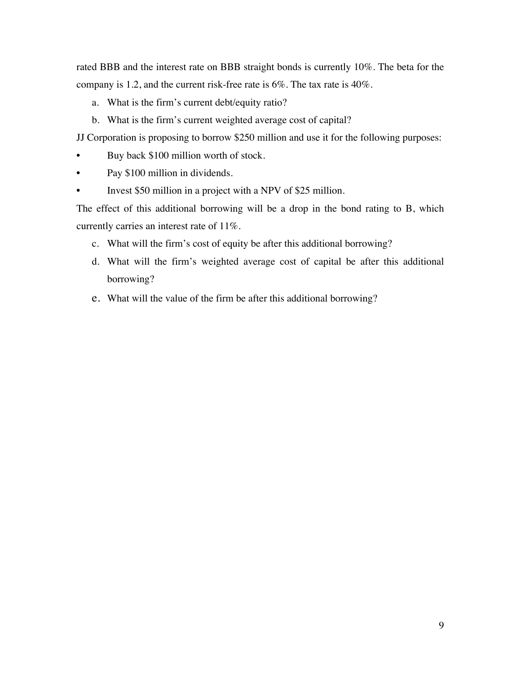rated BBB and the interest rate on BBB straight bonds is currently 10%. The beta for the company is 1.2, and the current risk-free rate is 6%. The tax rate is 40%.

- a. What is the firm's current debt/equity ratio?
- b. What is the firm's current weighted average cost of capital?

JJ Corporation is proposing to borrow \$250 million and use it for the following purposes:

- Buy back \$100 million worth of stock.
- Pay \$100 million in dividends.
- Invest \$50 million in a project with a NPV of \$25 million.

The effect of this additional borrowing will be a drop in the bond rating to B, which currently carries an interest rate of 11%.

- c. What will the firm's cost of equity be after this additional borrowing?
- d. What will the firm's weighted average cost of capital be after this additional borrowing?
- e. What will the value of the firm be after this additional borrowing?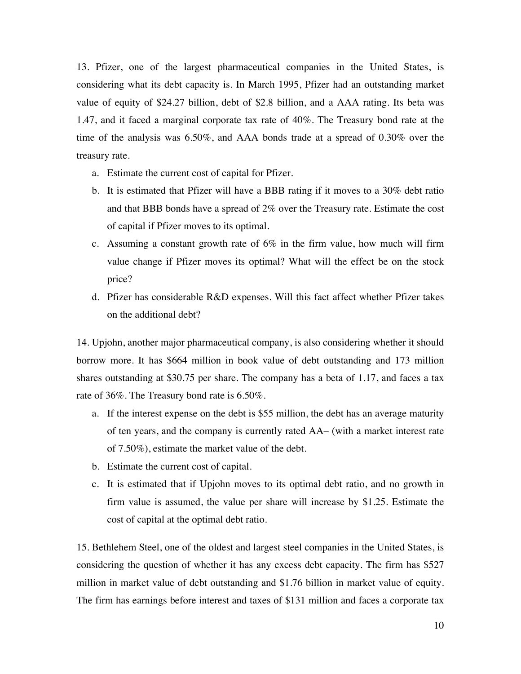13. Pfizer, one of the largest pharmaceutical companies in the United States, is considering what its debt capacity is. In March 1995, Pfizer had an outstanding market value of equity of \$24.27 billion, debt of \$2.8 billion, and a AAA rating. Its beta was 1.47, and it faced a marginal corporate tax rate of 40%. The Treasury bond rate at the time of the analysis was 6.50%, and AAA bonds trade at a spread of 0.30% over the treasury rate.

- a. Estimate the current cost of capital for Pfizer.
- b. It is estimated that Pfizer will have a BBB rating if it moves to a 30% debt ratio and that BBB bonds have a spread of 2% over the Treasury rate. Estimate the cost of capital if Pfizer moves to its optimal.
- c. Assuming a constant growth rate of 6% in the firm value, how much will firm value change if Pfizer moves its optimal? What will the effect be on the stock price?
- d. Pfizer has considerable R&D expenses. Will this fact affect whether Pfizer takes on the additional debt?

14. Upjohn, another major pharmaceutical company, is also considering whether it should borrow more. It has \$664 million in book value of debt outstanding and 173 million shares outstanding at \$30.75 per share. The company has a beta of 1.17, and faces a tax rate of 36%. The Treasury bond rate is 6.50%.

- a. If the interest expense on the debt is \$55 million, the debt has an average maturity of ten years, and the company is currently rated AA– (with a market interest rate of 7.50%), estimate the market value of the debt.
- b. Estimate the current cost of capital.
- c. It is estimated that if Upjohn moves to its optimal debt ratio, and no growth in firm value is assumed, the value per share will increase by \$1.25. Estimate the cost of capital at the optimal debt ratio.

15. Bethlehem Steel, one of the oldest and largest steel companies in the United States, is considering the question of whether it has any excess debt capacity. The firm has \$527 million in market value of debt outstanding and \$1.76 billion in market value of equity. The firm has earnings before interest and taxes of \$131 million and faces a corporate tax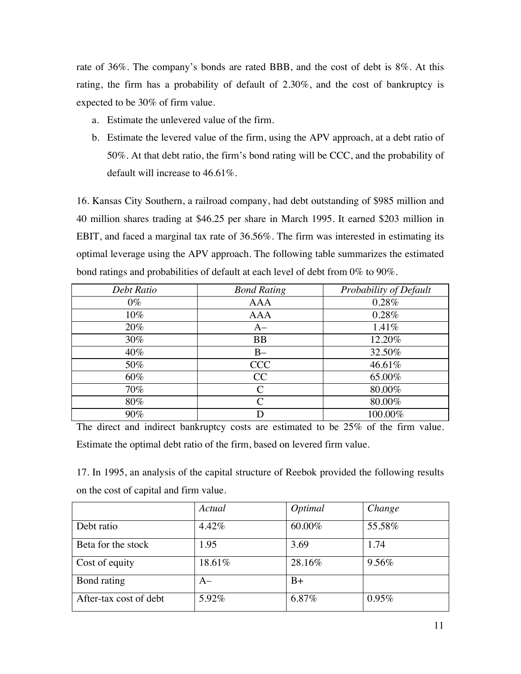rate of 36%. The company's bonds are rated BBB, and the cost of debt is 8%. At this rating, the firm has a probability of default of 2.30%, and the cost of bankruptcy is expected to be 30% of firm value.

- a. Estimate the unlevered value of the firm.
- b. Estimate the levered value of the firm, using the APV approach, at a debt ratio of 50%. At that debt ratio, the firm's bond rating will be CCC, and the probability of default will increase to 46.61%.

16. Kansas City Southern, a railroad company, had debt outstanding of \$985 million and 40 million shares trading at \$46.25 per share in March 1995. It earned \$203 million in EBIT, and faced a marginal tax rate of 36.56%. The firm was interested in estimating its optimal leverage using the APV approach. The following table summarizes the estimated bond ratings and probabilities of default at each level of debt from 0% to 90%.

| Debt Ratio | <b>Bond Rating</b>          | Probability of Default |
|------------|-----------------------------|------------------------|
| $0\%$      | <b>AAA</b>                  | 0.28%                  |
| $10\%$     | <b>AAA</b>                  | 0.28%                  |
| 20%        | $A-$                        | 1.41%                  |
| 30%        | <b>BB</b>                   | 12.20%                 |
| 40%        | $B -$                       | 32.50%                 |
| 50%        | <b>CCC</b>                  | 46.61%                 |
| 60%        | CC                          | 65.00%                 |
| 70%        | $\mathcal{C}_{\mathcal{C}}$ | 80.00%                 |
| $80\%$     | $\mathcal{C}_{\mathcal{C}}$ | 80.00%                 |
| 90%        |                             | 100.00%                |

The direct and indirect bankruptcy costs are estimated to be 25% of the firm value. Estimate the optimal debt ratio of the firm, based on levered firm value.

17. In 1995, an analysis of the capital structure of Reebok provided the following results on the cost of capital and firm value.

|                        | Actual | <i>Optimal</i> | Change |
|------------------------|--------|----------------|--------|
| Debt ratio             | 4.42%  | 60.00%         | 55.58% |
| Beta for the stock     | 1.95   | 3.69           | 1.74   |
| Cost of equity         | 18.61% | 28.16%         | 9.56%  |
| Bond rating            | $A-$   | $B+$           |        |
| After-tax cost of debt | 5.92%  | 6.87%          | 0.95%  |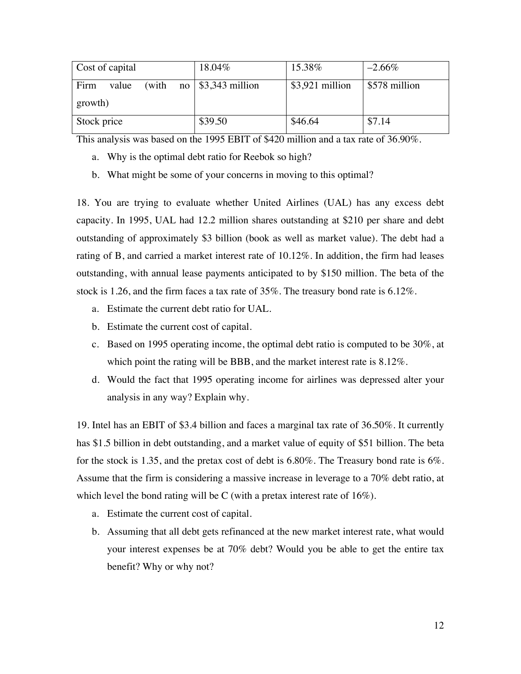| Cost of capital |       | 18.04%                         | 15.38%           | $-2.66\%$     |
|-----------------|-------|--------------------------------|------------------|---------------|
| Firm<br>value   | (with | no $\frac{1}{3}$ , 343 million | $$3,921$ million | \$578 million |
| growth)         |       |                                |                  |               |
| Stock price     |       | \$39.50                        | \$46.64          | \$7.14        |

This analysis was based on the 1995 EBIT of \$420 million and a tax rate of 36.90%.

- a. Why is the optimal debt ratio for Reebok so high?
- b. What might be some of your concerns in moving to this optimal?

18. You are trying to evaluate whether United Airlines (UAL) has any excess debt capacity. In 1995, UAL had 12.2 million shares outstanding at \$210 per share and debt outstanding of approximately \$3 billion (book as well as market value). The debt had a rating of B, and carried a market interest rate of 10.12%. In addition, the firm had leases outstanding, with annual lease payments anticipated to by \$150 million. The beta of the stock is 1.26, and the firm faces a tax rate of 35%. The treasury bond rate is 6.12%.

- a. Estimate the current debt ratio for UAL.
- b. Estimate the current cost of capital.
- c. Based on 1995 operating income, the optimal debt ratio is computed to be 30%, at which point the rating will be BBB, and the market interest rate is 8.12%.
- d. Would the fact that 1995 operating income for airlines was depressed alter your analysis in any way? Explain why.

19. Intel has an EBIT of \$3.4 billion and faces a marginal tax rate of 36.50%. It currently has \$1.5 billion in debt outstanding, and a market value of equity of \$51 billion. The beta for the stock is 1.35, and the pretax cost of debt is 6.80%. The Treasury bond rate is 6%. Assume that the firm is considering a massive increase in leverage to a 70% debt ratio, at which level the bond rating will be C (with a pretax interest rate of  $16\%$ ).

- a. Estimate the current cost of capital.
- b. Assuming that all debt gets refinanced at the new market interest rate, what would your interest expenses be at 70% debt? Would you be able to get the entire tax benefit? Why or why not?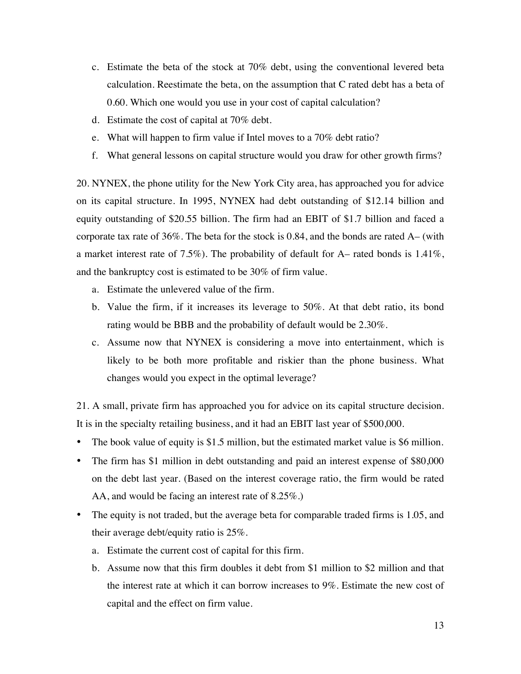- c. Estimate the beta of the stock at 70% debt, using the conventional levered beta calculation. Reestimate the beta, on the assumption that C rated debt has a beta of 0.60. Which one would you use in your cost of capital calculation?
- d. Estimate the cost of capital at 70% debt.
- e. What will happen to firm value if Intel moves to a 70% debt ratio?
- f. What general lessons on capital structure would you draw for other growth firms?

20. NYNEX, the phone utility for the New York City area, has approached you for advice on its capital structure. In 1995, NYNEX had debt outstanding of \$12.14 billion and equity outstanding of \$20.55 billion. The firm had an EBIT of \$1.7 billion and faced a corporate tax rate of  $36\%$ . The beta for the stock is 0.84, and the bonds are rated A– (with a market interest rate of 7.5%). The probability of default for  $A-$  rated bonds is 1.41%, and the bankruptcy cost is estimated to be 30% of firm value.

- a. Estimate the unlevered value of the firm.
- b. Value the firm, if it increases its leverage to 50%. At that debt ratio, its bond rating would be BBB and the probability of default would be 2.30%.
- c. Assume now that NYNEX is considering a move into entertainment, which is likely to be both more profitable and riskier than the phone business. What changes would you expect in the optimal leverage?

21. A small, private firm has approached you for advice on its capital structure decision. It is in the specialty retailing business, and it had an EBIT last year of \$500,000.

- The book value of equity is \$1.5 million, but the estimated market value is \$6 million.
- The firm has \$1 million in debt outstanding and paid an interest expense of \$80,000 on the debt last year. (Based on the interest coverage ratio, the firm would be rated AA, and would be facing an interest rate of 8.25%.)
- The equity is not traded, but the average beta for comparable traded firms is 1.05, and their average debt/equity ratio is 25%.
	- a. Estimate the current cost of capital for this firm.
	- b. Assume now that this firm doubles it debt from \$1 million to \$2 million and that the interest rate at which it can borrow increases to 9%. Estimate the new cost of capital and the effect on firm value.